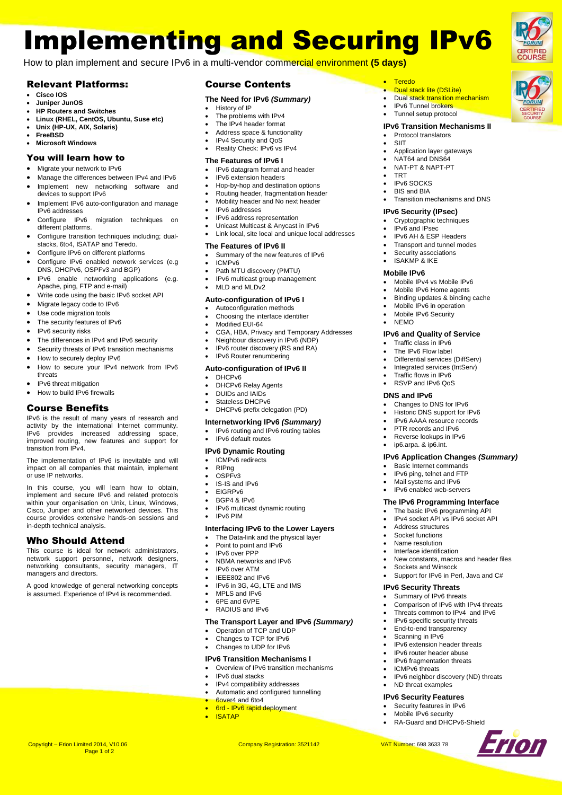# Implementing and Securing IPv6

**Teredo** 

 TRT  $\cdot$  IPv6 SOCKS BIS and BIA

 Dual stack lite (DSLite) • Dual stack transition mechanism IPv6 Tunnel brokers Tunnel setup protocol **IPv6 Transition Mechanisms II**

> Application layer gateways NAT64 and DNS64 NAT-PT & NAPT-PT

Transition mechanisms and DNS

• Protocol translators SIIT

**IPv6 Security (IPsec)** Cryptographic techniques IPv6 and IPsec IPv6 AH & ESP Headers Transport and tunnel modes Security associations ISAKMP & IKE **Mobile IPv6**

• Mobile IPv4 vs Mobile IPv6 Mobile IPv6 Home agents Binding updates & binding cache Mobile IPv6 in operation Mobile IPv6 Security

**IPv6 and Quality of Service** Traffic class in IPv6 The IPv6 Flow label Differential services (DiffServ) Integrated services (IntServ) Traffic flows in IPv6 RSVP and IPv6 QoS

> Changes to DNS for IPv6 Historic DNS support for IPv6 IPv6 AAAA resource records PTR records and IPv6 Reverse lookups in IPv6 ip6.arpa. & ip6.int.

 Basic Internet commands IPv6 ping, telnet and FTP Mail systems and IPv6 IPv6 enabled web-servers **The IPv6 Programming Interface** The basic IPv6 programming API IPv4 socket API vs IPv6 socket API

 Address structures Socket functions Name resolution Interface identification

Sockets and Winsock

**IPv6 Security Threats** Summary of IPv6 threats

 ND threat examples **IPv6 Security Features** Security features in IPv6 Mobile **IPv6** security RA-Guard and DHCPv6-Shield

**IPv6 Application Changes** *(Summary)*

New constants, macros and header files

Support for IPv6 in Perl, Java and C#

 Comparison of IPv6 with IPv4 threats Threats common to IPv4 and IPv6 IPv6 specific security threats End-to-end transparency Scanning in IPv6

IPv6 neighbor discovery (ND) threats

Erion

 IPv6 extension header threats IPv6 router header abuse IPv6 fragmentation threats ICMPv6 threats

NEMO

**DNS and IPv6**

How to plan implement and secure IPv6 in a multi-vendor commercial environment **(5 days)**

### Relevant Platforms:

- **Cisco IOS**
- **Juniper JunOS**
- **HP Routers and Switches**
- **Linux (RHEL, CentOS, Ubuntu, Suse etc)**
- **Unix (HP-UX, AIX, Solaris) FreeBSD**
- **Microsoft Windows**

## You will learn how to

- Migrate your network to IPv6
- Manage the differences between IPv4 and IPv6 • Implement new networking software and devices to support IPv6
- Implement IPv6 auto-configuration and manage IPv6 addresses
- Configure IPv6 migration techniques on different platforms.
- Configure transition techniques including: dualstacks, 6to4, ISATAP and Teredo.
- Configure IPv6 on different platforms
- Configure IPv6 enabled network services (e.g DNS, DHCPv6, OSPFv3 and BGP)
- IPv6 enable networking applications (e.g. Apache, ping, FTP and e-mail)
- Write code using the basic IPv6 socket API
- Migrate legacy code to IPv6
- Use code migration tools • The security features of IPv6
- IPv6 security risks
- 
- The differences in IPv4 and IPv6 security
- Security threats of IPv6 transition mechanisms How to securely deploy IPv6
- How to secure your IPv4 network from IPv6 threats
- IPv6 threat mitigation
- How to build IPv6 firewalls

### Course Benefits

IPv6 is the result of many years of research and activity by the international Internet community. IPv6 provides increased addressing space, improved routing, new features and support for transition from IPv4.

The implementation of IPv6 is inevitable and will impact on all companies that maintain, implement or use IP networks.

In this course, you will learn how to obtain, implement and secure IPv6 and related protocols within your organisation on Unix, Linux, Windows, Cisco, Juniper and other networked devices. This course provides extensive hands-on sessions and in-depth technical analysis.

### Who Should Attend

This course is ideal for network administrators, network support personnel, network designers, networking consultants, security managers, IT managers and directors.

A good knowledge of general networking concepts is assumed. Experience of IPv4 is recommended.

Page 1 of 2

### Course Contents

### **The Need for IPv6** *(Summary)*

- History of IP
- The problems with IPv4 The IPv4 header format
- Address space & functionality
- IPv4 Security and QoS
- Reality Check: IPv6 vs IPv4

### **The Features of IPv6 I**

- IPv6 datagram format and header
- IPv6 extension headers
- Hop-by-hop and destination options
- Routing header, fragmentation header Mobility header and No next header
- 
- IPv6 addresses
- IPv6 address representation Unicast Multicast & Anycast in IPv6
- Link local, site local and unique local addresses

### **The Features of IPv6 II**

- Summary of the new features of IPv6
- ICMPv6
- Path MTU discovery (PMTU)
- IPv6 multicast group management
- MLD and MLDv2

### **Auto-configuration of IPv6 I**

- Autoconfiguration methods
- Choosing the interface identifier Modified EUI-64
- 
- CGA, HBA, Privacy and Temporary Addresses
- Neighbour discovery in IPv6 (NDP) IPv6 router discovery (RS and RA)
- IPv6 Router renumbering

### **Auto-configuration of IPv6 II**

- DHCPv6
- DHCPv6 Relay Agents
- DUIDs and IAIDs
- Stateless DHCPv6 DHCPv6 prefix delegation (PD)
- 
- **Internetworking IPv6** *(Summary)*
- IPv6 routing and IPv6 routing tables
- IPv6 default routes

### **IPv6 Dynamic Routing**

- ICMPv6 redirects
- RIPng
- $\cdot$  OSPF<sub>v3</sub>
- IS-IS and IPv6
- **EIGRPv6**
- BGP4 & IPv6
- IPv6 multicast dynamic routing

# IPv6 PIM

### **Interfacing IPv6 to the Lower Layers**

- The Data-link and the physical layer<br>• Point to point and IPv6
- Point to point and IPv6
- IPv6 over PPP • NBMA networks and IPv6
- IPv6 over ATM
- IEEE802 and IPv6
- IPv6 in 3G, 4G, LTE and IMS
- MPLS and IPv6
- 6PE and 6VPE
- RADIUS and IPv6

### **The Transport Layer and IPv6** *(Summary)*

- Operation of TCP and UDP
- Changes to TCP for IPv6 Changes to UDP for IPv6
- 

Copyright – Erion Limited 2014, V10.06 Company Registration: 3521142 VAT Number: 698 3633 78

6over4 and 6to4

ISATAP

### **IPv6 Transition Mechanisms I**

 IPv4 compatibility addresses Automatic and configured tunnelling

6rd - IPv6 rapid deployment

 Overview of IPv6 transition mechanisms IPv6 dual stacks